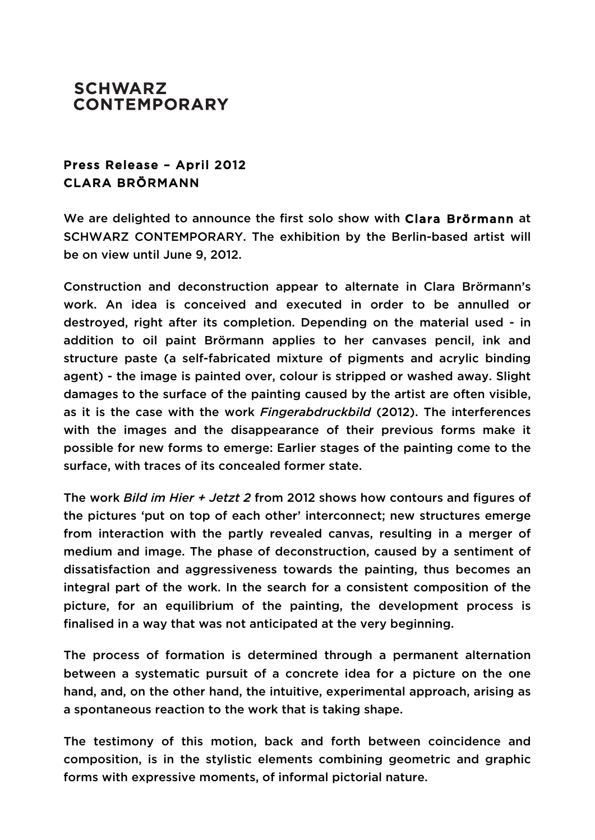## **SCHWARZ CONTEMPORARY**

## Press Release – April 2012 CLARA BRÖRMANN

We are delighted to announce the first solo show with Clara Brörmann at SCHWARZ CONTEMPORARY. The exhibition by the Berlin-based artist will be on view until June 9, 2012.

Construction and deconstruction appear to alternate in Clara Brörmann's work. An idea is conceived and executed in order to be annulled or destroyed, right after its completion. Depending on the material used - in addition to oil paint Brörmann applies to her canvases pencil, ink and structure paste (a self-fabricated mixture of pigments and acrylic binding agent) - the image is painted over, colour is stripped or washed away. Slight damages to the surface of the painting caused by the artist are often visible, as it is the case with the work *Fingerabdruckbild* (2012). The interferences with the images and the disappearance of their previous forms make it possible for new forms to emerge: Earlier stages of the painting come to the surface, with traces of its concealed former state.

The work *Bild im Hier + Jetzt 2* from 2012 shows how contours and figures of the pictures 'put on top of each other' interconnect; new structures emerge from interaction with the partly revealed canvas, resulting in a merger of medium and image. The phase of deconstruction, caused by a sentiment of dissatisfaction and aggressiveness towards the painting, thus becomes an integral part of the work. In the search for a consistent composition of the picture, for an equilibrium of the painting, the development process is finalised in a way that was not anticipated at the very beginning.

The process of formation is determined through a permanent alternation between a systematic pursuit of a concrete idea for a picture on the one hand, and, on the other hand, the intuitive, experimental approach, arising as a spontaneous reaction to the work that is taking shape.

The testimony of this motion, back and forth between coincidence and composition, is in the stylistic elements combining geometric and graphic forms with expressive moments, of informal pictorial nature.